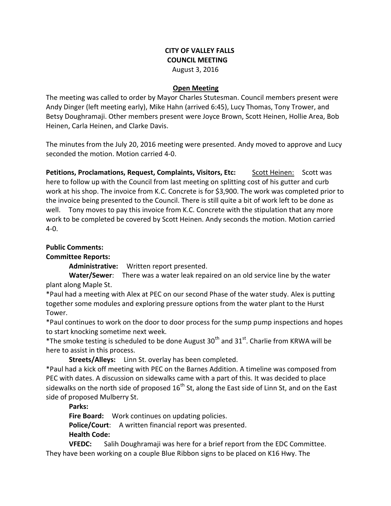## **CITY OF VALLEY FALLS COUNCIL MEETING** August 3, 2016

#### **Open Meeting**

The meeting was called to order by Mayor Charles Stutesman. Council members present were Andy Dinger (left meeting early), Mike Hahn (arrived 6:45), Lucy Thomas, Tony Trower, and Betsy Doughramaji. Other members present were Joyce Brown, Scott Heinen, Hollie Area, Bob Heinen, Carla Heinen, and Clarke Davis.

The minutes from the July 20, 2016 meeting were presented. Andy moved to approve and Lucy seconded the motion. Motion carried 4-0.

Petitions, Proclamations, Request, Complaints, Visitors, Etc: Scott Heinen: Scott was here to follow up with the Council from last meeting on splitting cost of his gutter and curb work at his shop. The invoice from K.C. Concrete is for \$3,900. The work was completed prior to the invoice being presented to the Council. There is still quite a bit of work left to be done as well. Tony moves to pay this invoice from K.C. Concrete with the stipulation that any more work to be completed be covered by Scott Heinen. Andy seconds the motion. Motion carried 4-0.

#### **Public Comments:**

### **Committee Reports:**

**Administrative:** Written report presented.

**Water/Sewer**: There was a water leak repaired on an old service line by the water plant along Maple St.

\*Paul had a meeting with Alex at PEC on our second Phase of the water study. Alex is putting together some modules and exploring pressure options from the water plant to the Hurst Tower.

\*Paul continues to work on the door to door process for the sump pump inspections and hopes to start knocking sometime next week.

\*The smoke testing is scheduled to be done August  $30<sup>th</sup>$  and  $31<sup>st</sup>$ . Charlie from KRWA will be here to assist in this process.

**Streets/Alleys:** Linn St. overlay has been completed.

\*Paul had a kick off meeting with PEC on the Barnes Addition. A timeline was composed from PEC with dates. A discussion on sidewalks came with a part of this. It was decided to place sidewalks on the north side of proposed  $16<sup>th</sup>$  St, along the East side of Linn St, and on the East side of proposed Mulberry St.

**Parks:** 

**Fire Board:** Work continues on updating policies.

**Police/Court**: A written financial report was presented. **Health Code:** 

**VFEDC:** Salih Doughramaji was here for a brief report from the EDC Committee. They have been working on a couple Blue Ribbon signs to be placed on K16 Hwy. The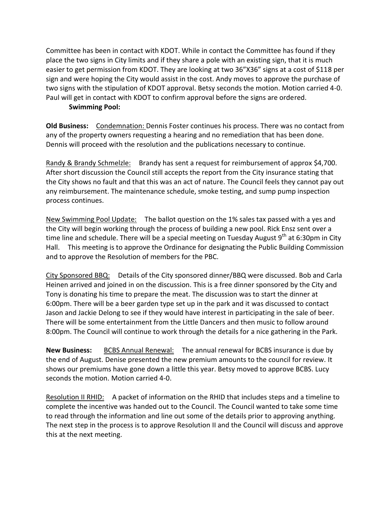Committee has been in contact with KDOT. While in contact the Committee has found if they place the two signs in City limits and if they share a pole with an existing sign, that it is much easier to get permission from KDOT. They are looking at two 36"X36" signs at a cost of \$118 per sign and were hoping the City would assist in the cost. Andy moves to approve the purchase of two signs with the stipulation of KDOT approval. Betsy seconds the motion. Motion carried 4-0. Paul will get in contact with KDOT to confirm approval before the signs are ordered.

### **Swimming Pool:**

**Old Business:** Condemnation: Dennis Foster continues his process. There was no contact from any of the property owners requesting a hearing and no remediation that has been done. Dennis will proceed with the resolution and the publications necessary to continue.

Randy & Brandy Schmelzle: Brandy has sent a request for reimbursement of approx \$4,700. After short discussion the Council still accepts the report from the City insurance stating that the City shows no fault and that this was an act of nature. The Council feels they cannot pay out any reimbursement. The maintenance schedule, smoke testing, and sump pump inspection process continues.

New Swimming Pool Update: The ballot question on the 1% sales tax passed with a yes and the City will begin working through the process of building a new pool. Rick Ensz sent over a time line and schedule. There will be a special meeting on Tuesday August  $9<sup>th</sup>$  at 6:30pm in City Hall. This meeting is to approve the Ordinance for designating the Public Building Commission and to approve the Resolution of members for the PBC.

City Sponsored BBQ: Details of the City sponsored dinner/BBQ were discussed. Bob and Carla Heinen arrived and joined in on the discussion. This is a free dinner sponsored by the City and Tony is donating his time to prepare the meat. The discussion was to start the dinner at 6:00pm. There will be a beer garden type set up in the park and it was discussed to contact Jason and Jackie Delong to see if they would have interest in participating in the sale of beer. There will be some entertainment from the Little Dancers and then music to follow around 8:00pm. The Council will continue to work through the details for a nice gathering in the Park.

**New Business:** BCBS Annual Renewal: The annual renewal for BCBS insurance is due by the end of August. Denise presented the new premium amounts to the council for review. It shows our premiums have gone down a little this year. Betsy moved to approve BCBS. Lucy seconds the motion. Motion carried 4-0.

Resolution II RHID: A packet of information on the RHID that includes steps and a timeline to complete the incentive was handed out to the Council. The Council wanted to take some time to read through the information and line out some of the details prior to approving anything. The next step in the process is to approve Resolution II and the Council will discuss and approve this at the next meeting.